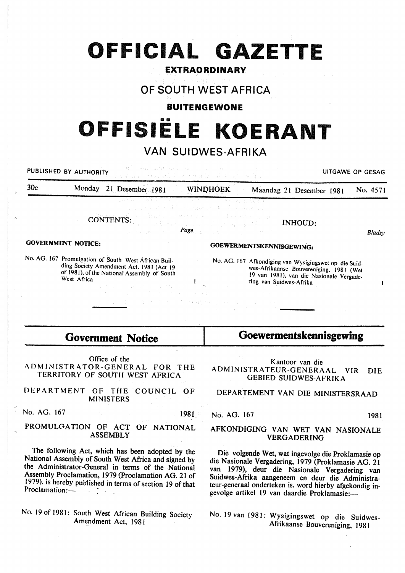# **OFFICIAL GAZETTE**

### **EXTRAORDINARY**

# **OF SOUTH WEST AFRICA**

#### **BUITENGEWONE**

# •• **OFFISIELE KOERANT**

# **VAN SUIDWES-AFRIKA**

**PUBLISHED BY AUTHORITY EXECUTIVE STATES IN A SECOND SECOND SECOND SECOND SECOND SECOND SECOND SECOND SECOND SECOND SECOND SECOND SECOND SECOND SECOND SECOND SECOND SECOND SECOND SECOND SECOND SECOND SECOND SECOND SECOND** 30c Monday 21 Desember 1981 WINDHOEK Maandag 21 Desember 1981 No. 4571 CONTENTS:. INHOUD: *Page Bladsy*  GOVERNMENT NOTICE: GOEWERMENTSKENNISGEWING: No. AG. 167 Promulgation of South West African Buil-No. AG. 167 Afkondiging van Wysigingswet op die Suidding Society Amendment Act, 1981 (Act 19 wes-Afrikaanse Bouvereniging, 1981 (Wet of 1981), of the National Assembly of South 19 van 1981), van die Nasionale Vergade-West Africa ring van Suidwes-Afrika  $\mathbf{I}$  $\mathbf{I}$ 

# **Government Notice**

Office of the ADMINISTRATOR-GENERAL FOR THE TERRITORY OF SOUTH WEST AFRICA

DEPARTMENT OF THE COUNCIL OF MINISTERS

No. AG. 167 1981

#### PROMULGATION OF ACT OF NATIONAL ASSEMBLY

The following Act, which has been adopted by the National Assembly of South West Africa and signed by the Administrator-General in terms of the National Assembly Proclamation, 1979 (Proclamation AG. 21 of 1979). is hereby pub1ished in terms of section 19 of that Proclamation:-

No. 19 of 1981: South West African Building Society Amendment Act, 198 I

**Goewermentskennisgewing** 

Kantoor van die ADMINISTRATEUR-GENERAAL VIR DIE GEBIED SUIDWES-AFRIKA

### DEPARTEMENT VAN DIE MINISTERSRAAD

No. AG. 167 1981

#### AFKONDIGING VAN WET VAN NASIONALE VERGADERING

Die volgende Wet, wat ingevolge die Proklamasie op die Nasionale Vergadering, 1979 (Proklamasie AG. 21 van 1979), deur die Nasionale Vergadering van Suidwes-Mrika aangeneem en deur die Administrateur-generaal onderteken is, word hierby afgekondig ingevolge artikel 19 van daardie Proklamasie:-

No. 19 van 1981: Wysigingswet op die Suidwes-Afrikaanse Bouvereniging, 1981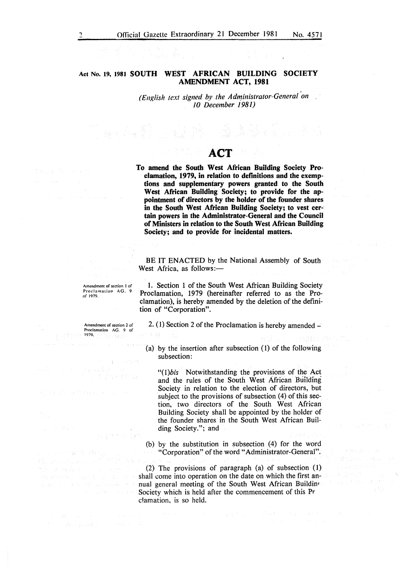#### **Act** No. **19, 1981 SOUTH WEST AFRICAN BUILDING SOCIETY AMENDMENT ACT, 1981**

(English *text* signed by the Administrator-General on *10 December 1 981)* 

# **ACT**

**To amend the South West African Building Society Proclamation, 1979, in relation to definitions and the exemptions and supplementary powers granted to the South West African Building Society; to provide for the appointment of directors by the holder of the founder shares in the South West African Building Society; to vest certain powers in the Administrator-General and the Council of Ministers in relation to the South West African Building Society; and to provide for incidental matters.** 

BE IT ENACTED by the National Assembly of South West Africa, as follows:-

Amendment of section I of Proclamation AG. 9 of 1979.

**1.** Section 1 of the South West African Building Society Proclamation, 1979 (hereinafter referred to as the Proclamation), is hereby amended by the deletion of the definition of "Corporation".

2. (1) Section 2 of the Proclamation is hereby amended  $-$ 

(a) by the insertion after subsection (1) of the following subsection:

*"(l)bis* Notwithstanding the provisions of the Act and the rules of the South West African Building Society in relation to the election of directors, but subject to the provisions of subsection (4) of this section, two directors of the South West African Building Society shall be appointed by the holder of the founder shares in the South West African Building Society."; and

(b) by the substitution in subsection (4) for the word "Corporation" of the word" Administrator-General".

(2) The provisions of paragraph (a) of subsection (1) shall come into operation on the date on which the first annual general meeting of the South West African Buildin<sup>o</sup> Society which is held after the commencement of this Pr c!amation, is so held.

医异丙烷酸 网络

Amendment of section 2 of Proclamation AG. 9 of 1979.

na priva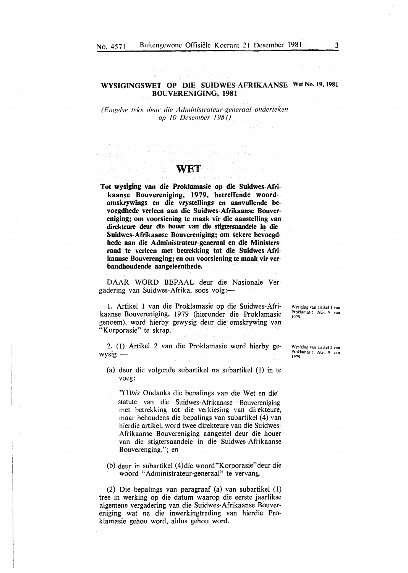#### WYSIGINGSWET OP DIE SUIDWES-AFRIKAANSE Wet No. 19, 1981 BOUVERENIGING, 1981

*( Engelse leks deur die A dministrateur-generaal onderteken op* 10 *Desember* 1981)

# **WET**

การเล่น เป็นเกิด เป็นเกิด เป็นเกิด เป็นเกิด เป็นเกิด เป็นเกิด เป็นเกิด เป็นเกิด เป็นเกิด เป็นเกิด เป็นเกิด เป็<br>เป็นเกิด เป็นเกิด เป็นเกิด เป็นเกิด เป็นเกิด เป็นเกิด เป็นเกิด เป็นเกิด เป็นเกิด เป็นเกิด เป็นเกิด เป็นเกิด เป

 $\label{eq:3.1} \frac{1}{2} \left[ \left( \partial_{\lambda \lambda} \partial_{\lambda \lambda} \psi_{\lambda \lambda} \right) \right] \left( \mathcal{E}_{\lambda \lambda} \psi_{\lambda \lambda} \right) \left( \mathcal{E}_{\lambda \lambda} \psi_{\lambda \lambda} \right) \left( \mathcal{E}_{\lambda \lambda} \psi_{\lambda \lambda} \right) \left( \mathcal{E}_{\lambda \lambda} \psi_{\lambda \lambda} \right)$ 

Tot wysiging van die Proklamasie op die Suidwes-Afrikaanse Bouvereniging, 1979, betreffende woord- · omskrywings en die vrystellings en aanvullende bevoegdhede verleen aan die Suidwes-Afrikaanse Bouvereniging; om voorsiening te maak vir die aanstelling van direkteure deur die houer van die stigtersaandele in die Suidwes-Afrikaanse Bouvereniging; om sekere bevoegdhede aan die Administrateur-generaal en die Ministersraad te verleen met betrekking tot die Suidwes-Afrikaanse Bouverenging; en om voorsiening te maak vir verbandhoudende aangeleenthede.

DAAR WORD BEPAAL deur die Nasionale Vergadering van Suidwes-Afrika, soos volg:-

l. Artikel I van die Proklamasie op die Suidwes-Afrikaanse Bouvereniging, 1979 (hieronder die Proklamasie genoem), word hierby gewysig deur die omskry-wing van "Korporasie" te skrap.

2. (I) Artikel 2 van die Proklamasie word hierby ge $wysig -$ 

(a) deur die volgende subartikel na subartikel (I) in te voeg:

"(I *)bis* Ondanks die bepalings van die Wet en die statute van die Suidwes-Afrikaanse Bouvereniging met betrekking tot die verkiesing van direkteure, maar behoudens die bepalings van subartikel ( 4) van hierdie artikel, word twee direkteure van die Suidwes-Afrikaanse Bouvereniging aangestel deur die houer van die stigtersaandele in die Suidwes-Afrikaanse Bouverenging."; en

(b) deur in subartikel (4)die woord"Korporasie"deur die woord "Administrateur-generaal" te vervang.

(2) Die bepalings van paragraaf (a) van subartikel (1) tree in werking op die datum waarop die eerste jaarlikse algemene vergadering van die Suidwes-Afrikaanse Bouvereniging wat na die inwerkingtreding van hierdie Proklamasie gehou word, aldus gehou word.

Wysiging van artikel I van Proklamasie AG. 9 van 1979.

Wysiging van artikel 2 van Proklamasie AG. 9 van 1979.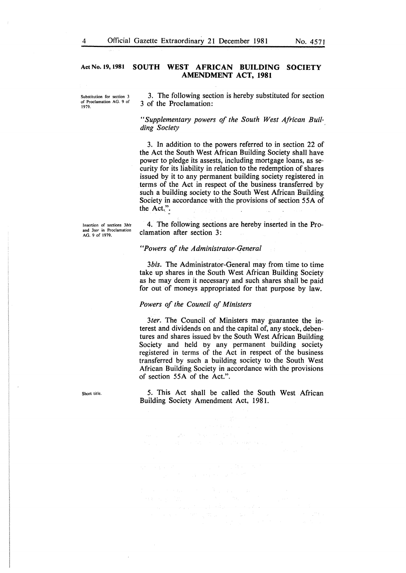#### **Act** No. **19, 1981 SOUTH WEST AFRICAN BUILDING SOCIETY AMENDMENT ACT, 1981**

Substitution for section 3 of Proclamation AG. 9 of 1979.

3. The following section is hereby substituted for section 3 of the Proclamation:

*"Supplementary powers of the South West African Building Society* 

3. In addition to the powers referred to in section 22 of the Act the South West African Building Society shall have power to pledge its assests, including mortgage loans, as security for its liability in relation to the redemption of shares issued by it to any permanent building society registered in terms of the Act in respect of the business transferred by such a building society to the South West African Building Society in accordance with the provisions of section 55A of the Act.''.

Insertion of sections *3bis*  and *3ter* in Proclamation AG. 9 of 1979.

4. The following sections are hereby inserted in the Proclamation after section 3:

#### *"Powers of the Administrator-General*

*3bis.* The Administrator-General may from time to time take up shares in the South West African Building Society as he may deem it necessary and such shares shall be paid for out of moneys appropriated for that purpose by law.

#### *Powers of the Council of Ministers*

 $\label{eq:2.1} \begin{split} \partial \rho_{\text{max}}(x) &= \frac{1}{2\pi\epsilon} \frac{Z_{\text{max}}}{\sqrt{2\pi\epsilon}} \,, \\ \Omega_{\text{max}}(x) &= \frac{1}{2\pi\epsilon} \frac{Z_{\text{max}}}{\sqrt{2\pi\epsilon}} \,. \end{split}$ 

 $\bar{z}$ 

*3ter.* The Council of Ministers may guarantee the interest and dividends on and the capital of, any stock, debentures and shares issued bv the South West African Building Society and held oy any permanent building society registered in terms of the Act in respect of the business transferred by such a building society to the South West African Building Society in accordance with the provisions of section 55A of the Act.".

5. This Act shall be called the South West African Building Society Amendment Act, 1981.

Short title.